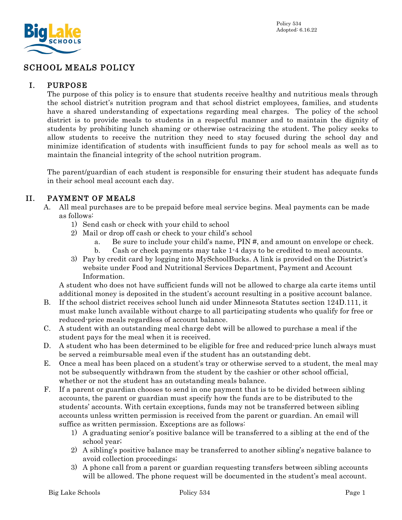

# SCHOOL MEALS POLICY

### I. PURPOSE

The purpose of this policy is to ensure that students receive healthy and nutritious meals through the school district's nutrition program and that school district employees, families, and students have a shared understanding of expectations regarding meal charges. The policy of the school district is to provide meals to students in a respectful manner and to maintain the dignity of students by prohibiting lunch shaming or otherwise ostracizing the student. The policy seeks to allow students to receive the nutrition they need to stay focused during the school day and minimize identification of students with insufficient funds to pay for school meals as well as to maintain the financial integrity of the school nutrition program.

The parent/guardian of each student is responsible for ensuring their student has adequate funds in their school meal account each day.

#### II. PAYMENT OF MEALS

- A. All meal purchases are to be prepaid before meal service begins. Meal payments can be made as follows:
	- 1) Send cash or check with your child to school
	- 2) Mail or drop off cash or check to your child's school
		- a. Be sure to include your child's name, PIN #, and amount on envelope or check.
		- b. Cash or check payments may take 1-4 days to be credited to meal accounts.
	- 3) Pay by credit card by logging into MySchoolBucks. A link is provided on the District's website under Food and Nutritional Services Department, Payment and Account Information.

A student who does not have sufficient funds will not be allowed to charge ala carte items until additional money is deposited in the student's account resulting in a positive account balance.

- B. If the school district receives school lunch aid under Minnesota Statutes section 124D.111, it must make lunch available without charge to all participating students who qualify for free or reduced-price meals regardless of account balance.
- C. A student with an outstanding meal charge debt will be allowed to purchase a meal if the student pays for the meal when it is received.
- D. A student who has been determined to be eligible for free and reduced-price lunch always must be served a reimbursable meal even if the student has an outstanding debt.
- E. Once a meal has been placed on a student's tray or otherwise served to a student, the meal may not be subsequently withdrawn from the student by the cashier or other school official, whether or not the student has an outstanding meals balance.
- F. If a parent or guardian chooses to send in one payment that is to be divided between sibling accounts, the parent or guardian must specify how the funds are to be distributed to the students' accounts. With certain exceptions, funds may not be transferred between sibling accounts unless written permission is received from the parent or guardian. An email will suffice as written permission. Exceptions are as follows:
	- 1) A graduating senior's positive balance will be transferred to a sibling at the end of the school year;
	- 2) A sibling's positive balance may be transferred to another sibling's negative balance to avoid collection proceedings;
	- 3) A phone call from a parent or guardian requesting transfers between sibling accounts will be allowed. The phone request will be documented in the student's meal account.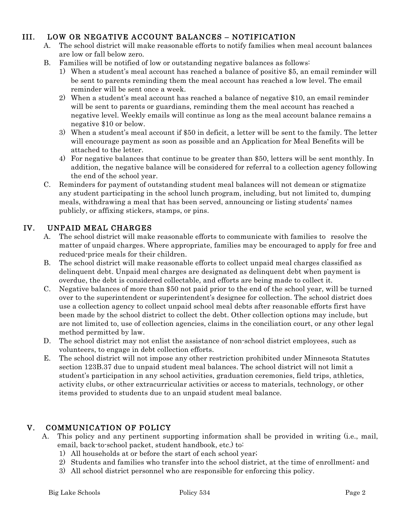## III. LOW OR NEGATIVE ACCOUNT BALANCES – NOTIFICATION

- A. The school district will make reasonable efforts to notify families when meal account balances are low or fall below zero.
- B. Families will be notified of low or outstanding negative balances as follows:
	- 1) When a student's meal account has reached a balance of positive \$5, an email reminder will be sent to parents reminding them the meal account has reached a low level. The email reminder will be sent once a week.
	- 2) When a student's meal account has reached a balance of negative \$10, an email reminder will be sent to parents or guardians, reminding them the meal account has reached a negative level. Weekly emails will continue as long as the meal account balance remains a negative \$10 or below.
	- 3) When a student's meal account if \$50 in deficit, a letter will be sent to the family. The letter will encourage payment as soon as possible and an Application for Meal Benefits will be attached to the letter.
	- 4) For negative balances that continue to be greater than \$50, letters will be sent monthly. In addition, the negative balance will be considered for referral to a collection agency following the end of the school year.
- C. Reminders for payment of outstanding student meal balances will not demean or stigmatize any student participating in the school lunch program, including, but not limited to, dumping meals, withdrawing a meal that has been served, announcing or listing students' names publicly, or affixing stickers, stamps, or pins.

#### IV. UNPAID MEAL CHARGES

- A. The school district will make reasonable efforts to communicate with families to resolve the matter of unpaid charges. Where appropriate, families may be encouraged to apply for free and reduced-price meals for their children.
- B. The school district will make reasonable efforts to collect unpaid meal charges classified as delinquent debt. Unpaid meal charges are designated as delinquent debt when payment is overdue, the debt is considered collectable, and efforts are being made to collect it.
- C. Negative balances of more than \$50 not paid prior to the end of the school year, will be turned over to the superintendent or superintendent's designee for collection. The school district does use a collection agency to collect unpaid school meal debts after reasonable efforts first have been made by the school district to collect the debt. Other collection options may include, but are not limited to, use of collection agencies, claims in the conciliation court, or any other legal method permitted by law.
- D. The school district may not enlist the assistance of non-school district employees, such as volunteers, to engage in debt collection efforts.
- E. The school district will not impose any other restriction prohibited under Minnesota Statutes section 123B.37 due to unpaid student meal balances. The school district will not limit a student's participation in any school activities, graduation ceremonies, field trips, athletics, activity clubs, or other extracurricular activities or access to materials, technology, or other items provided to students due to an unpaid student meal balance.

## V. COMMUNICATION OF POLICY

- A. This policy and any pertinent supporting information shall be provided in writing (i.e., mail, email, back-to-school packet, student handbook, etc.) to:
	- 1) All households at or before the start of each school year;
	- 2) Students and families who transfer into the school district, at the time of enrollment; and
	- 3) All school district personnel who are responsible for enforcing this policy.